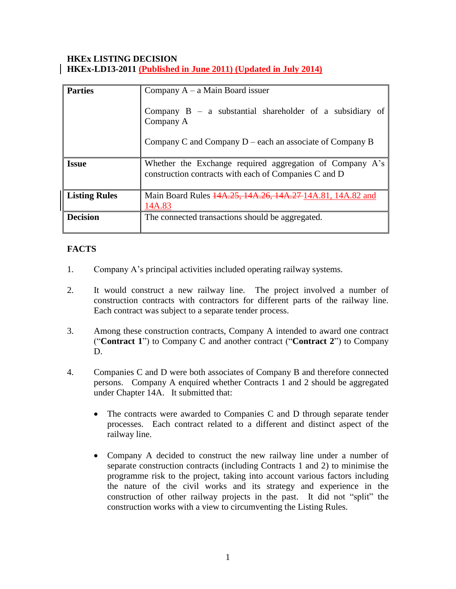## **HKEx LISTING DECISION HKEx-LD13-2011 (Published in June 2011) (Updated in July 2014)**

| <b>Parties</b>       | Company $A - a$ Main Board issuer                                                                                 |
|----------------------|-------------------------------------------------------------------------------------------------------------------|
|                      | Company $B - a$ substantial shareholder of a subsidiary of<br>Company A                                           |
|                      | Company C and Company $D$ – each an associate of Company B                                                        |
| <b>Issue</b>         | Whether the Exchange required aggregation of Company A's<br>construction contracts with each of Companies C and D |
| <b>Listing Rules</b> | Main Board Rules 44A.25, 14A.26, 14A.27-14A.81, 14A.82 and<br>14A.83                                              |
| <b>Decision</b>      | The connected transactions should be aggregated.                                                                  |

# **FACTS**

- 1. Company A's principal activities included operating railway systems.
- 2. It would construct a new railway line. The project involved a number of construction contracts with contractors for different parts of the railway line. Each contract was subject to a separate tender process.
- 3. Among these construction contracts, Company A intended to award one contract ("**Contract 1**") to Company C and another contract ("**Contract 2**") to Company D.
- 4. Companies C and D were both associates of Company B and therefore connected persons. Company A enquired whether Contracts 1 and 2 should be aggregated under Chapter 14A. It submitted that:
	- The contracts were awarded to Companies C and D through separate tender processes. Each contract related to a different and distinct aspect of the railway line.
	- Company A decided to construct the new railway line under a number of separate construction contracts (including Contracts 1 and 2) to minimise the programme risk to the project, taking into account various factors including the nature of the civil works and its strategy and experience in the construction of other railway projects in the past. It did not "split" the construction works with a view to circumventing the Listing Rules.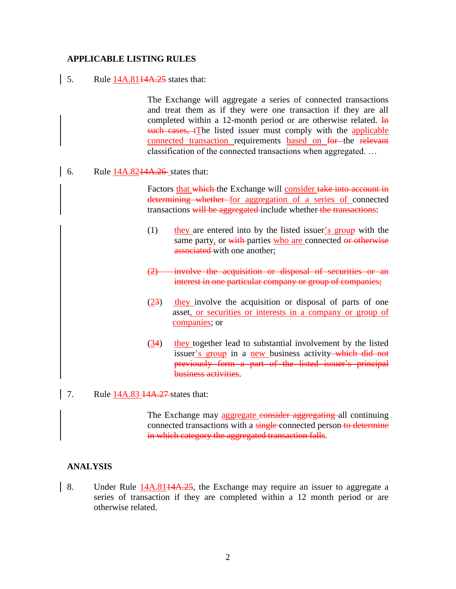### **APPLICABLE LISTING RULES**

#### 5. Rule 14A.8144A.25 states that:

The Exchange will aggregate a series of connected transactions and treat them as if they were one transaction if they are all completed within a 12-month period or are otherwise related. In such cases, tThe listed issuer must comply with the applicable connected transaction requirements based on for the relevant classification of the connected transactions when aggregated. …

6. Rule 14A.8214A.26 states that:

Factors that which the Exchange will consider take into account in determining whether for aggregation of a series of connected transactions will be aggregated include whether the transactions:

- (1) they are entered into by the listed issuer's group with the same party, or with parties who are connected or otherwise associated with one another;
- (2) involve the acquisition or disposal of securities or an interest in one particular company or group of companies;
- $(23)$  they involve the acquisition or disposal of parts of one asset, or securities or interests in a company or group of companies; or
- (34) they together lead to substantial involvement by the listed issuer's group in a new business activity—which did not previously form a part of the listed issuer's principal business activities.
- 7. Rule 14A.83 14A.27 states that:

The Exchange may aggregate consider aggregating all continuing connected transactions with a single-connected person-to-determine in which category the aggregated transaction falls.

## **ANALYSIS**

8. Under Rule  $14A.8114A.25$ , the Exchange may require an issuer to aggregate a series of transaction if they are completed within a 12 month period or are otherwise related.